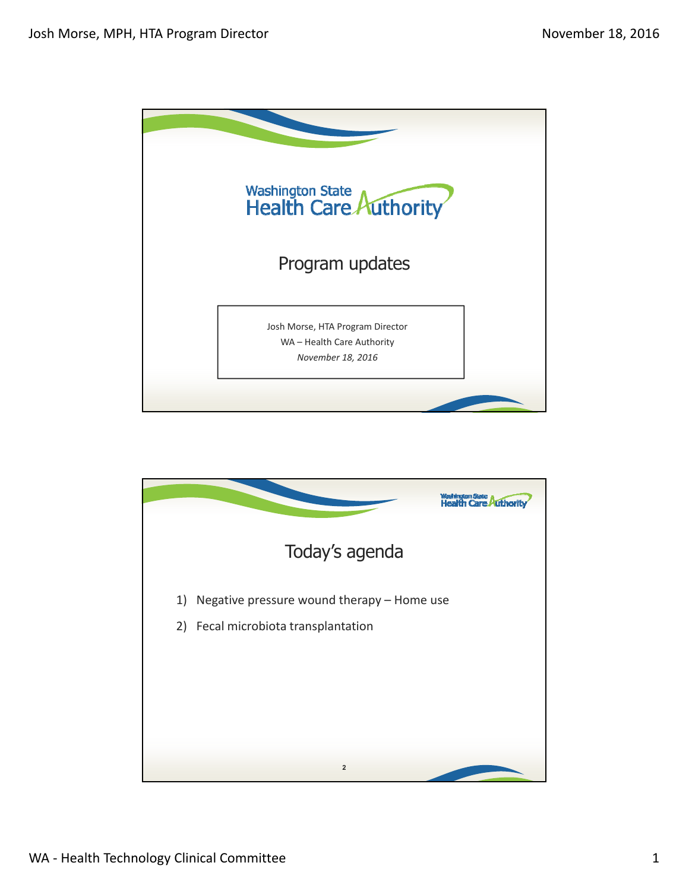

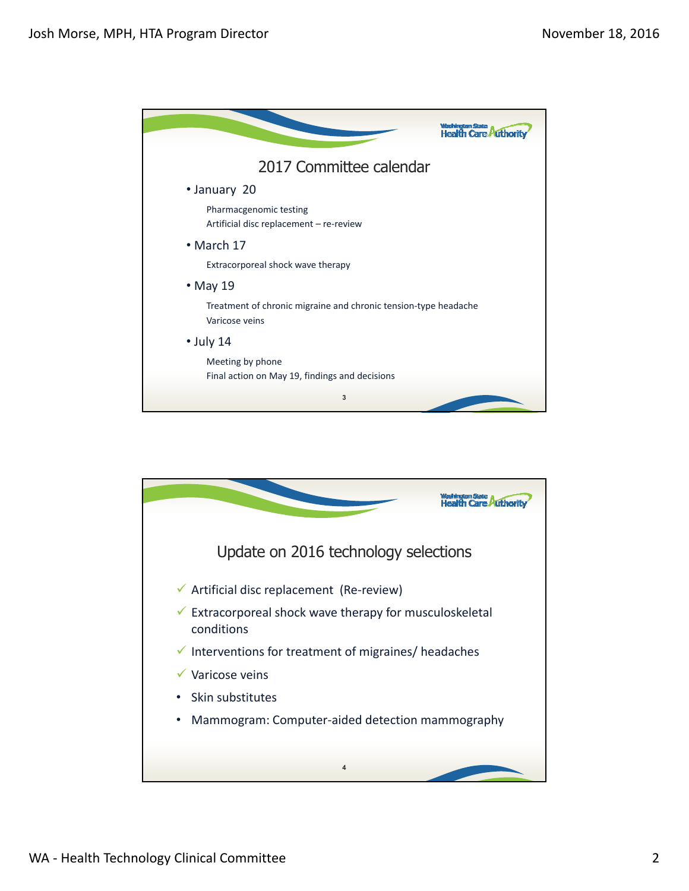

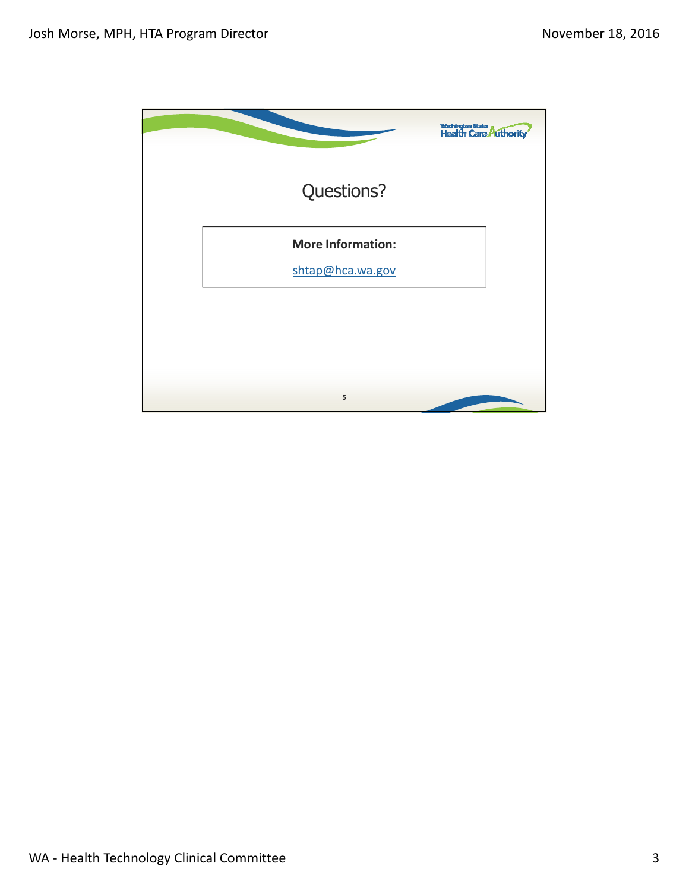